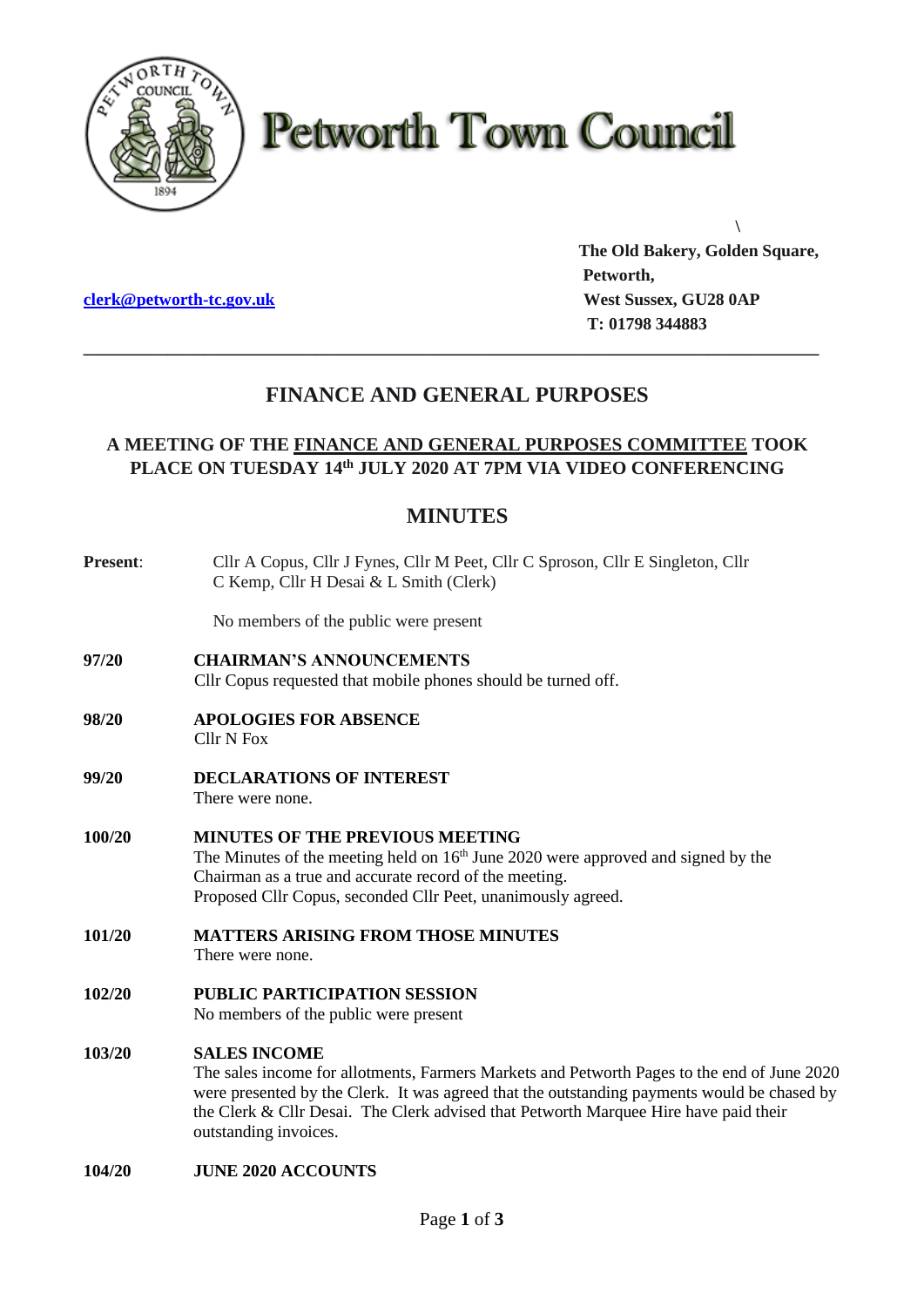

# **Petworth Town Council**

**[clerk@petworth-tc.gov.uk](mailto:clerk@petworth-tc.gov.uk) West Sussex, GU28 0AP**

**The Old Bakery, Golden Square, Petworth, T: 01798 344883**

**\**

# **FINANCE AND GENERAL PURPOSES**

**\_\_\_\_\_\_\_\_\_\_\_\_\_\_\_\_\_\_\_\_\_\_\_\_\_\_\_\_\_\_\_\_\_\_\_\_\_\_\_\_\_\_\_\_\_\_\_\_\_\_\_\_\_\_\_\_\_\_\_\_\_\_\_\_\_\_\_\_\_\_\_\_\_\_\_\_\_\_\_**

### **A MEETING OF THE FINANCE AND GENERAL PURPOSES COMMITTEE TOOK PLACE ON TUESDAY 14 th JULY 2020 AT 7PM VIA VIDEO CONFERENCING**

## **MINUTES**

| <b>Present:</b> | Cllr A Copus, Cllr J Fynes, Cllr M Peet, Cllr C Sproson, Cllr E Singleton, Cllr<br>C Kemp, Cllr H Desai & L Smith (Clerk)                                                                                                                                                                                                          |
|-----------------|------------------------------------------------------------------------------------------------------------------------------------------------------------------------------------------------------------------------------------------------------------------------------------------------------------------------------------|
|                 | No members of the public were present                                                                                                                                                                                                                                                                                              |
| 97/20           | <b>CHAIRMAN'S ANNOUNCEMENTS</b><br>Cllr Copus requested that mobile phones should be turned off.                                                                                                                                                                                                                                   |
| 98/20           | <b>APOLOGIES FOR ABSENCE</b><br><b>Cllr N Fox</b>                                                                                                                                                                                                                                                                                  |
| 99/20           | <b>DECLARATIONS OF INTEREST</b><br>There were none.                                                                                                                                                                                                                                                                                |
| 100/20          | <b>MINUTES OF THE PREVIOUS MEETING</b><br>The Minutes of the meeting held on $16th$ June 2020 were approved and signed by the<br>Chairman as a true and accurate record of the meeting.<br>Proposed Cllr Copus, seconded Cllr Peet, unanimously agreed.                                                                            |
| 101/20          | <b>MATTERS ARISING FROM THOSE MINUTES</b><br>There were none.                                                                                                                                                                                                                                                                      |
| 102/20          | <b>PUBLIC PARTICIPATION SESSION</b><br>No members of the public were present                                                                                                                                                                                                                                                       |
| 103/20          | <b>SALES INCOME</b><br>The sales income for allotments, Farmers Markets and Petworth Pages to the end of June 2020<br>were presented by the Clerk. It was agreed that the outstanding payments would be chased by<br>the Clerk & Cllr Desai. The Clerk advised that Petworth Marquee Hire have paid their<br>outstanding invoices. |
| 104/20          | <b>JUNE 2020 ACCOUNTS</b>                                                                                                                                                                                                                                                                                                          |
|                 |                                                                                                                                                                                                                                                                                                                                    |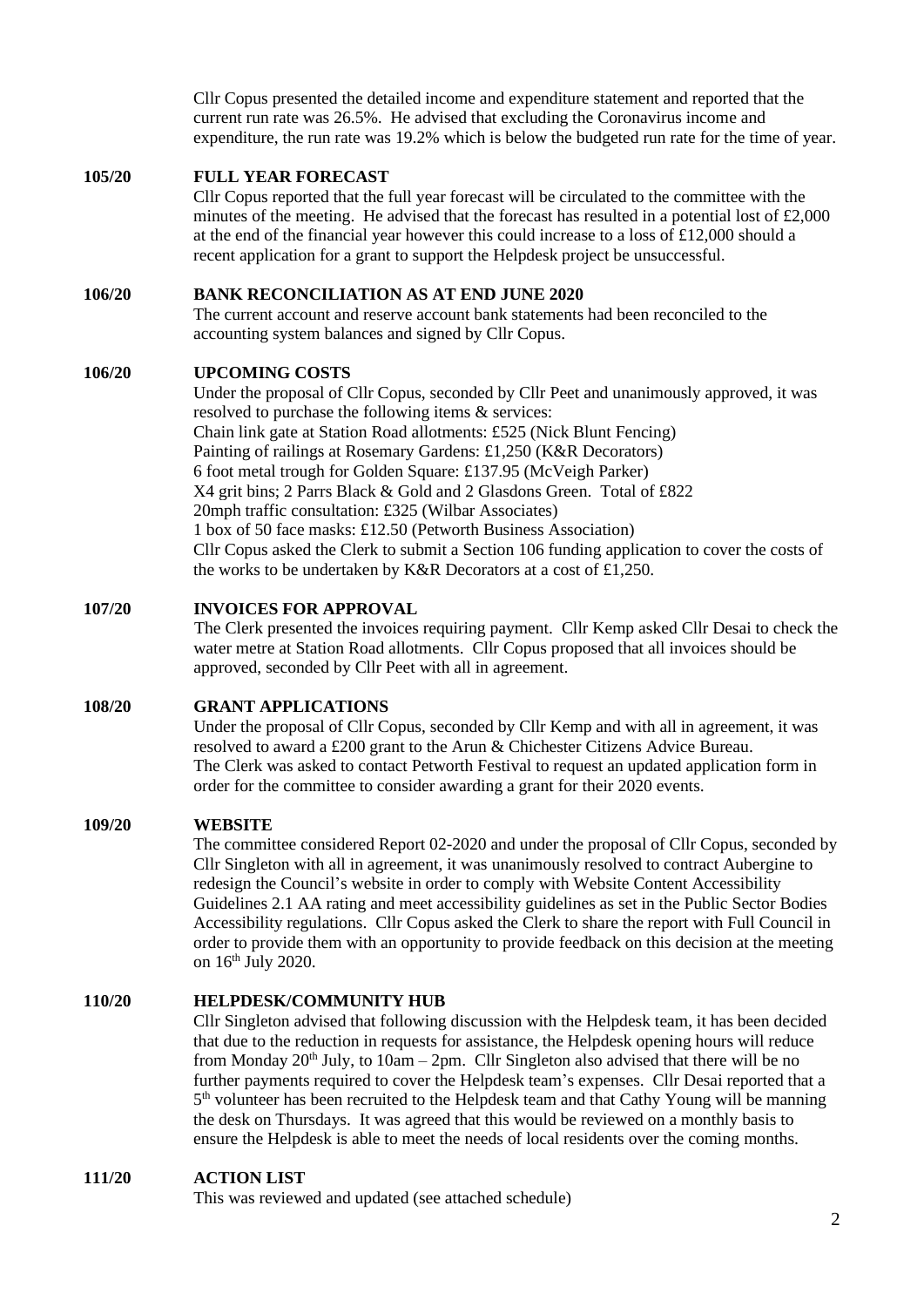Cllr Copus presented the detailed income and expenditure statement and reported that the current run rate was 26.5%. He advised that excluding the Coronavirus income and expenditure, the run rate was 19.2% which is below the budgeted run rate for the time of year.

#### **105/20 FULL YEAR FORECAST**

Cllr Copus reported that the full year forecast will be circulated to the committee with the minutes of the meeting. He advised that the forecast has resulted in a potential lost of  $£2,000$ at the end of the financial year however this could increase to a loss of  $£12,000$  should a recent application for a grant to support the Helpdesk project be unsuccessful.

#### **106/20 BANK RECONCILIATION AS AT END JUNE 2020**

The current account and reserve account bank statements had been reconciled to the accounting system balances and signed by Cllr Copus.

#### **106/20 UPCOMING COSTS**

Under the proposal of Cllr Copus, seconded by Cllr Peet and unanimously approved, it was resolved to purchase the following items & services: Chain link gate at Station Road allotments: £525 (Nick Blunt Fencing) Painting of railings at Rosemary Gardens: £1,250 (K&R Decorators) 6 foot metal trough for Golden Square: £137.95 (McVeigh Parker) X4 grit bins; 2 Parrs Black & Gold and 2 Glasdons Green. Total of £822 20mph traffic consultation: £325 (Wilbar Associates) 1 box of 50 face masks: £12.50 (Petworth Business Association) Cllr Copus asked the Clerk to submit a Section 106 funding application to cover the costs of the works to be undertaken by K&R Decorators at a cost of £1,250.

#### **107/20 INVOICES FOR APPROVAL**

The Clerk presented the invoices requiring payment. Cllr Kemp asked Cllr Desai to check the water metre at Station Road allotments. Cllr Copus proposed that all invoices should be approved, seconded by Cllr Peet with all in agreement.

#### **108/20 GRANT APPLICATIONS**

Under the proposal of Cllr Copus, seconded by Cllr Kemp and with all in agreement, it was resolved to award a £200 grant to the Arun & Chichester Citizens Advice Bureau. The Clerk was asked to contact Petworth Festival to request an updated application form in order for the committee to consider awarding a grant for their 2020 events.

#### **109/20 WEBSITE**

The committee considered Report 02-2020 and under the proposal of Cllr Copus, seconded by Cllr Singleton with all in agreement, it was unanimously resolved to contract Aubergine to redesign the Council's website in order to comply with Website Content Accessibility Guidelines 2.1 AA rating and meet accessibility guidelines as set in the Public Sector Bodies Accessibility regulations. Cllr Copus asked the Clerk to share the report with Full Council in order to provide them with an opportunity to provide feedback on this decision at the meeting on 16th July 2020.

#### **110/20 HELPDESK/COMMUNITY HUB**

Cllr Singleton advised that following discussion with the Helpdesk team, it has been decided that due to the reduction in requests for assistance, the Helpdesk opening hours will reduce from Monday  $20<sup>th</sup>$  July, to  $10am - 2pm$ . Cllr Singleton also advised that there will be no further payments required to cover the Helpdesk team's expenses. Cllr Desai reported that a 5<sup>th</sup> volunteer has been recruited to the Helpdesk team and that Cathy Young will be manning the desk on Thursdays. It was agreed that this would be reviewed on a monthly basis to ensure the Helpdesk is able to meet the needs of local residents over the coming months.

#### **111/20 ACTION LIST**

This was reviewed and updated (see attached schedule)